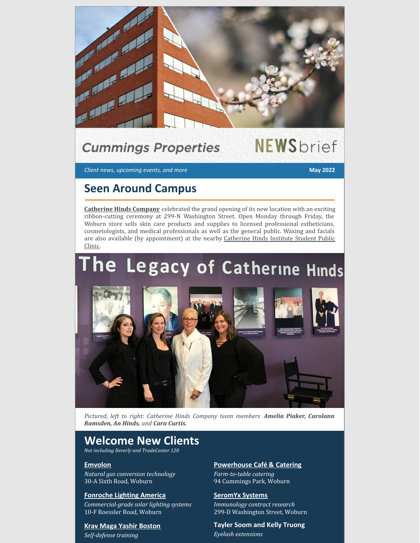

## **Cummings Properties**

# **NEWS**brief

*Client news, upcoming events, and more* **May 2022**

### **Seen Around Campus**

**[Catherine](http://www.catherinehindscompany.com/) Hinds Company** celebrated the grand opening of its new location with an exciting ribbon-cutting ceremony at 299-N Washington Street. Open Monday through Friday, the Woburn store sells skin care products and supplies to licensed professional estheticians, cosmetologists, and medical professionals as well as the general public. Waxing and facials are also available (by [appointment\)](https://catherinehinds.edu/clinic/student-clinic) at the nearby Catherine Hinds Institute Student Public Clinic.

# he Legacy of Catherine Hinds



*Pictured, left to right: Catherine Hinds Company team members Amelia Piaker, Carolann Ramsden, An Hinds, and Cara Curtis.*

### **Welcome New Clients**

*Not including Beverly and TradeCenter 128*

#### **[Emvolon](http://www.emvolon.com/)**

*Natural gas conversion technology* 30-A Sixth Road, Woburn

#### **[Fonroche](https://www.fonrochesolarlighting.com/) Lighting America**

*Commercial-grade solar lighting systems* 10-F Roessler Road, Woburn

### **Krav Maga Yashir [Boston](http://www.bostonkravmaga.com/)**

*Self-defense training*

#### **[Powerhouse](https://www.powerhousecafeandcatering.com/) Café & Catering** *Farm-to-table catering*

94 Cummings Park, Woburn

#### **[SeromYx](http://www.seromyx.com/) Systems** *Immunology contract research* 299-D Washington Street, Woburn

**Tayler Soom and Kelly Truong** *Eyelash extensions*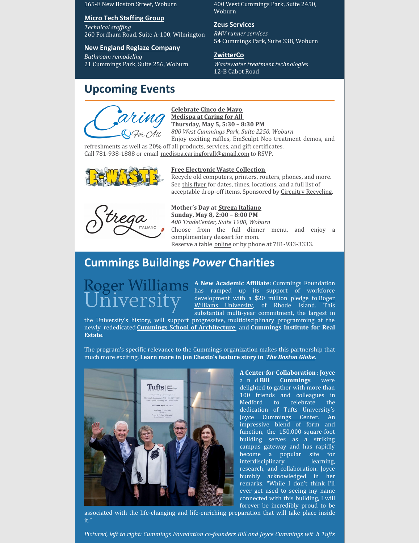165-E New Boston Street, Woburn

#### **Micro Tech [Staffing](http://www.mtsg.com/) Group**

 $Technical$  *staffing* 260 Fordham Road, Suite A-100, Wilmington

#### **New England Reglaze [Company](https://newenglandreglaze.com/)**

*Bathroom remodeling* 21 Cummings Park, Suite 256, Woburn

### **Upcoming Events**

#### **[Celebrate](https://www.facebook.com/medispaatcaringforall/photos/a.1934762266542945/5458862277466242) Cinco de Mayo [Medispa](http://woburnmedispa.com/) at Caring for All Thursday, May 5, 5:30 – 8:30 PM**

Woburn

**Zeus Services** *RMV runner services*

**[ZwitterCo](http://www.zwitterco.com/)**

12-B Cabot Road

*800 West Cummings Park, Suite 2250, Woburn* Enjoy exciting raffles, EmSculpt Neo treatment demos, and

400 West Cummings Park, Suite 2450,

54 Cummings Park, Suite 338, Woburn

*Wastewater treatment technologies*

refreshments as well as 20% off all products, services, and gift certificates. Call 781-938-1888 or email [medispa.caringforall@gmail.com](mailto:medispa.caringforall@gmail.com) to RSVP.



#### **Free [Electronic](https://www.cummings.com/fliers/e-waste_spring_2022.jpg) Waste Collection**

Recycle old computers, printers, routers, phones, and more. See this [flyer](https://www.cummings.com/fliers/e-waste_spring_2022.jpg) for dates, times, locations, and a full list of acceptable drop-off items. Sponsored by Circuitry [Recycling](http://www.circuitryrecycling.com/).



**Mother's Day at Strega [Italiano](https://stregaitaliano.com/locations/woburn/) Sunday, May 8, 2:00 – 8:00 PM** *400 TradeCenter, Suite 1900, Woburn* Choose from the full dinner menu, and enjoy a complimentary dessert for mom.

Reserve a table [online](https://stregaitaliano.com/locations/woburn/) or by phone at 781-933-3333.

### **Cummings Buildings** *Power* **Charities**

A **New Academic Affiliate:** Cummings Foundation has ramped up its support of workforce [development](https://www.rwu.edu/cummings-school) with a \$20 million pledge to Roger Williams University, of Rhode Island. This substantial multi-year commitment, the largest in

the University's history, will support progressive, multidisciplinary programming at the newly rededicated **Cummings School of [Architecture](https://www.cummingsfoundation.org/cummings-schools/index.html#architecture)** and **Cummings Institute for Real Estate**.

The program's specific relevance to the Cummings organization makes this partnership that much more exciting. **Learn more in Jon Chesto's feature story in** *The [Boston](https://www.bostonglobe.com/2022/04/06/business/cummings-foundation-pledges-20m-roger-williams-real-estate-school/?p1=BGSearch_Overlay_Results) Globe*.



**A Center for Collaboration**: **Joyce** a n d **Bill Cummings** were delighted to gather with more than 100 friends and colleagues in Medford to celebrate the dedication of Tufts University's Joyce [Cummings](https://provost.tufts.edu/joyce-cummings-center/) Center. An impressive blend of form and function, the 150,000-square-foot building serves as a striking campus gateway and has rapidly become a popular site for interdisciplinary learning, research, and collaboration. Joyce humbly acknowledged in her remarks, "While I don't think I'll ever get used to seeing my name connected with this building, I will forever be incredibly proud to be

associated with the life-changing and life-enriching preparation that will take place inside it."

*Pictured, left to right: Cummings Foundation co-founders Bill and Joyce Cummings wit h Tufts*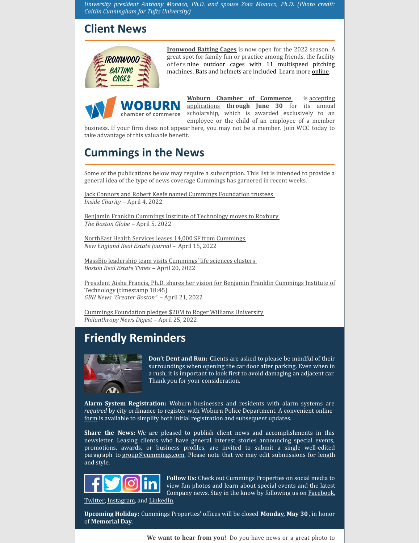*University president Anthony Monaco, Ph.D. and spouse Zoia Monaco, Ph.D. (Photo credit: Caitlin Cunningham for Tufts University)*

### **Client News**



**[Ironwood](https://www.ironwoodbattingcage.com/) Batting Cages** is now open for the 2022 season. A great spot for family fun or practice among friends, the facility offers nine outdoor cages with 11 multispeed pitching machines. Bats and helmets are included. Learn more [online](https://www.ironwoodbattingcage.com/).

chamber of commerce

**Woburn Chamber of [Commerce](https://www.woburnchamber.org/)** is accepting [applications](https://www.woburnchamber.org/woburn-business-association-scholarship/?mc_cid=746db9a7c6&mc_eid=894d3b4f5d) **through June 30** for its annual scholarship, which is awarded exclusively to an employee or the child of an employee of a member

business. If your firm does not appear [here](https://www.woburnchamber.org/members/#!directory), you may not be a member. Join [WCC](https://www.woburnchamber.org/get-involved/join/#account/join) today to take advantage of this valuable benefit.

### **Cummings in the News**

Some of the publications below may require a subscription. This list is intended to provide a general idea of the type of news coverage Cummings has garnered in recent weeks.

Jack Connors and Robert Keefe named Cummings [Foundation](https://insidecharity.org/2022/04/03/jack-connors-robert-keefe-named-cummings-foundation-trustees/) trustees *Inside Charity* – April 4, 2022

Benjamin Franklin Cummings Institute of [Technology](https://www.bostonglobe.com/2022/04/05/metro/move-benjamin-franklin-institute-reflects-broader-change-nubian-square/?event=event25) moves to Roxbury *The Boston Globe* – April 5, 2022

NorthEast Health Services leases 14,000 SF from [Cummings](https://nerej.com/northeast-health-services-leases-14-000-s-f-from-cummings-props) *New England Real Estate Journal –* April 15, 2022

MassBio leadership team visits [Cummings'](https://bostonrealestatetimes.com/massbio-leadership-team-visits-cummings-life-sciences-clusters/) life sciences clusters *Boston Real Estate Times* – April 20, 2022

President Aisha Francis, Ph.D. shares her vision for Benjamin Franklin Cummings Institute of Technology [\(timestamp](https://www.youtube.com/watch?v=kwI9rDG8t7c) 18:45) *GBH News "Greater Boston"* – April 21, 2022

Cummings [Foundation](https://philanthropynewsdigest.org/news/cummings-foundation-pledges-20-million-to-roger-williams-university) pledges \$20M to Roger Williams University *Philanthropy News Digest* – April 25, 2022

### **Friendly Reminders**



**Don't Dent and Run:** Clients are asked to please be mindful of their surroundings when opening the car door after parking. Even when in a rush, it is important to look first to avoid damaging an adjacent car. Thank you for your consideration.

**Alarm System Registration:** Woburn businesses and residents with alarm systems are *required* by city ordinance to register with Woburn Police Department. A convenient online [form](https://www.woburnma.gov/government/police/alarm-systems-registration/) is available to simplify both initial registration and subsequent updates.

**Share the News:** We are pleased to publish client news and accomplishments in this newsletter. Leasing clients who have general interest stories announcing special events, promotions, awards, or business profiles, are invited to submit a single well-edited paragraph to [group@cummings.com](mailto:group@cummings.com). Please note that we may edit submissions for length and style.



**Follow Us:** Check out Cummings Properties on social media to view fun photos and learn about special events and the latest Company news. Stay in the know by following us on **[Facebook](https://www.facebook.com/cummingsproperties/)**, [Twitter,](https://twitter.com/cummingsdotcom) [Instagram](https://www.instagram.com/cummingsproperties/), and [LinkedIn](https://www.linkedin.com/company/cummings-properties).

**Upcoming Holiday:** Cummings Properties' offices will be closed **Monday, May 30**, in honor of **Memorial Day**.

**We want to hear from you!** Do you have news or a great photo to